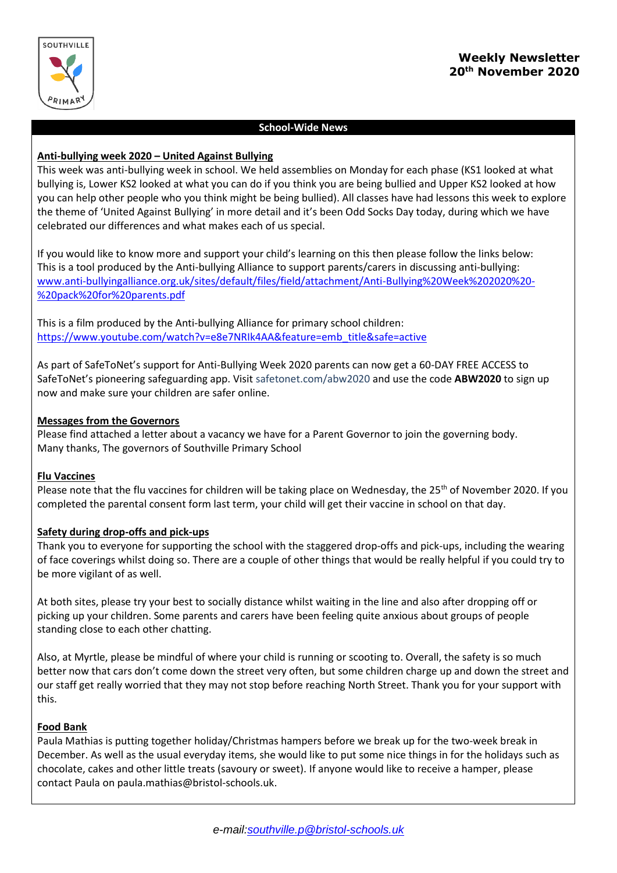

# **School-Wide News**

# **Anti-bullying week 2020 – United Against Bullying**

This week was anti-bullying week in school. We held assemblies on Monday for each phase (KS1 looked at what bullying is, Lower KS2 looked at what you can do if you think you are being bullied and Upper KS2 looked at how you can help other people who you think might be being bullied). All classes have had lessons this week to explore the theme of 'United Against Bullying' in more detail and it's been Odd Socks Day today, during which we have celebrated our differences and what makes each of us special.

If you would like to know more and support your child's learning on this then please follow the links below: This is a tool produced by the Anti-bullying Alliance to support parents/carers in discussing anti-bullying: [www.anti-bullyingalliance.org.uk/sites/default/files/field/attachment/Anti-Bullying%20Week%202020%20-](http://www.anti-bullyingalliance.org.uk/sites/default/files/field/attachment/Anti-Bullying%20Week%202020%20-%20pack%20for%20parents.pdf) [%20pack%20for%20parents.pdf](http://www.anti-bullyingalliance.org.uk/sites/default/files/field/attachment/Anti-Bullying%20Week%202020%20-%20pack%20for%20parents.pdf)

This is a film produced by the Anti-bullying Alliance for primary school children: [https://www.youtube.com/watch?v=e8e7NRIk4AA&feature=emb\\_title&safe=active](https://www.youtube.com/watch?v=e8e7NRIk4AA&feature=emb_title&safe=active)

As part of SafeToNet's support for Anti-Bullying Week 2020 parents can now get a 60-DAY FREE ACCESS to SafeToNet's pioneering safeguarding app. Visit safetonet.com/abw2020 and use the code **ABW2020** to sign up now and make sure your children are safer online.

# **Messages from the Governors**

Please find attached a letter about a vacancy we have for a Parent Governor to join the governing body. Many thanks, The governors of Southville Primary School

# **Flu Vaccines**

Please note that the flu vaccines for children will be taking place on Wednesday, the 25<sup>th</sup> of November 2020. If you completed the parental consent form last term, your child will get their vaccine in school on that day.

# **Safety during drop-offs and pick-ups**

Thank you to everyone for supporting the school with the staggered drop-offs and pick-ups, including the wearing of face coverings whilst doing so. There are a couple of other things that would be really helpful if you could try to be more vigilant of as well.

At both sites, please try your best to socially distance whilst waiting in the line and also after dropping off or picking up your children. Some parents and carers have been feeling quite anxious about groups of people standing close to each other chatting.

Also, at Myrtle, please be mindful of where your child is running or scooting to. Overall, the safety is so much better now that cars don't come down the street very often, but some children charge up and down the street and our staff get really worried that they may not stop before reaching North Street. Thank you for your support with this.

# **Food Bank**

Paula Mathias is putting together holiday/Christmas hampers before we break up for the two-week break in December. As well as the usual everyday items, she would like to put some nice things in for the holidays such as chocolate, cakes and other little treats (savoury or sweet). If anyone would like to receive a hamper, please contact Paula on paula.mathias@bristol-schools.uk.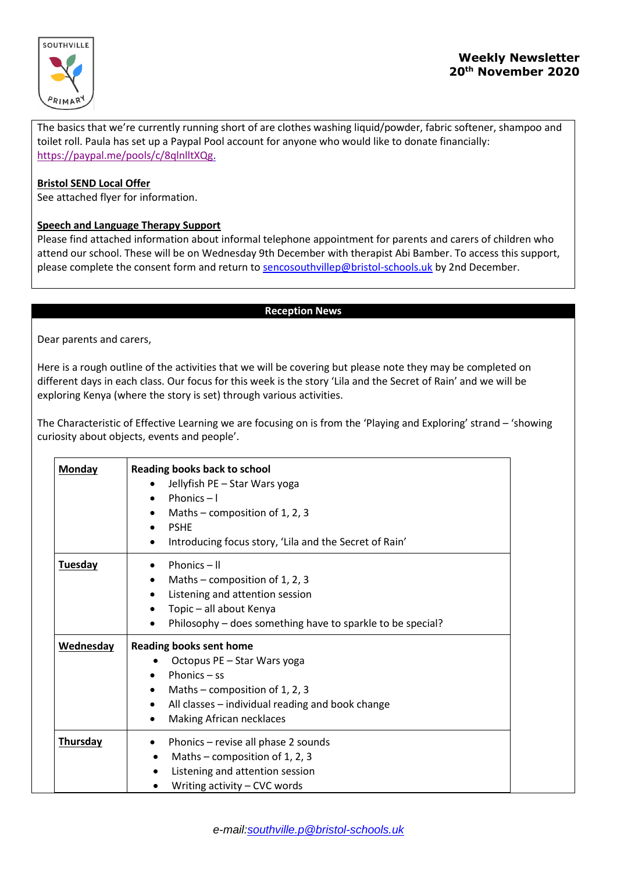

The basics that we're currently running short of are clothes washing liquid/powder, fabric softener, shampoo and toilet roll. Paula has set up a Paypal Pool account for anyone who would like to donate financially: [https://paypal.me/pools/c/8qlnlltXQg.](https://paypal.me/pools/c/8qlnlltXQg)

#### **Bristol SEND Local Offer**

See attached flyer for information.

#### **Speech and Language Therapy Support**

Please find attached information about informal telephone appointment for parents and carers of children who attend our school. These will be on Wednesday 9th December with therapist Abi Bamber. To access this support, please complete the consent form and return to [sencosouthvillep@bristol-schools.uk](mailto:sencosouthvillep@bristol-schools.uk) by 2nd December.

#### **Reception News**

Dear parents and carers,

Here is a rough outline of the activities that we will be covering but please note they may be completed on different days in each class. Our focus for this week is the story 'Lila and the Secret of Rain' and we will be exploring Kenya (where the story is set) through various activities.

The Characteristic of Effective Learning we are focusing on is from the 'Playing and Exploring' strand – 'showing curiosity about objects, events and people'.

| <b>Monday</b>  | Reading books back to school<br>Jellyfish PE - Star Wars yoga<br>$\bullet$<br>Phonics $-1$<br>Maths – composition of 1, 2, 3<br>٠<br><b>PSHE</b><br>$\bullet$<br>Introducing focus story, 'Lila and the Secret of Rain'<br>٠          |
|----------------|---------------------------------------------------------------------------------------------------------------------------------------------------------------------------------------------------------------------------------------|
| <b>Tuesday</b> | Phonics $-$ II<br>Maths – composition of 1, 2, 3<br>$\bullet$<br>Listening and attention session<br>$\bullet$<br>Topic - all about Kenya<br>Philosophy – does something have to sparkle to be special?                                |
| Wednesday      | <b>Reading books sent home</b><br>Octopus PE - Star Wars yoga<br>Phonics $-$ ss<br>$\bullet$<br>Maths – composition of 1, 2, 3<br>$\bullet$<br>All classes - individual reading and book change<br>٠<br>Making African necklaces<br>٠ |
| Thursday       | Phonics - revise all phase 2 sounds<br>$\bullet$<br>Maths – composition of 1, 2, 3<br>$\bullet$<br>Listening and attention session<br>Writing activity - CVC words                                                                    |